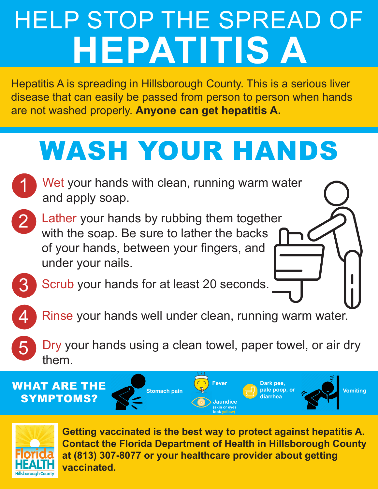# HELP STOP THE SPREAD OF **HEPATITIS A**

Hepatitis A is spreading in Hillsborough County. This is a serious liver disease that can easily be passed from person to person when hands are not washed properly. **Anyone can get hepatitis A.**

### WASH YOUR HANDS

- 1 Wet your hands with clean, running warm water and apply soap.
- 2

3

4

5

- Lather your hands by rubbing them together with the soap. Be sure to lather the backs of your hands, between your fingers, and under your nails.
- Scrub your hands for at least 20 seconds.
- Rinse your hands well under clean, running warm water.
- Dry your hands using a clean towel, paper towel, or air dry them.

WHAT ARE THE SYMPTOMS?





**Getting vaccinated is the best way to protect against hepatitis A. Contact the Florida Department of Health in Hillsborough County at (813) 307-8077 or your healthcare provider about getting vaccinated.**